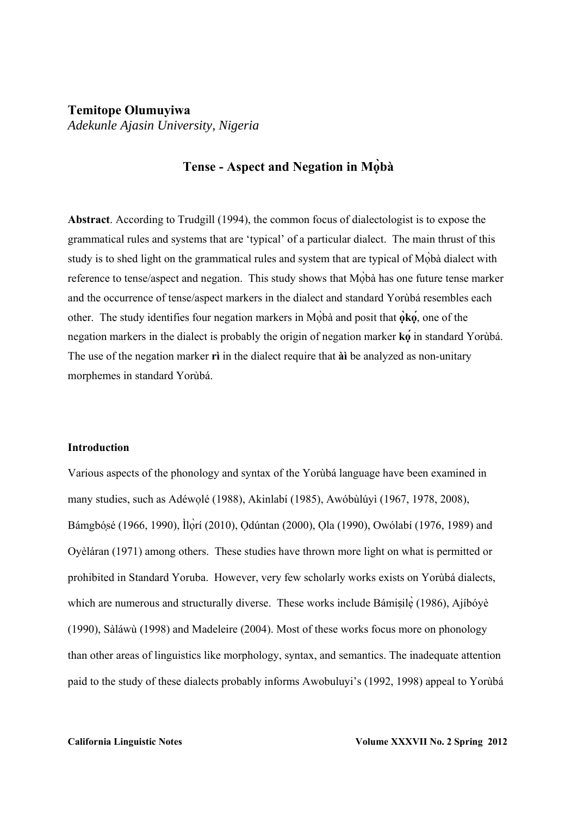# **Temitope Olumuyiwa**  *Adekunle Ajasin University, Nigeria*

# **Tense - Aspect and Negation in Mọ̀bà**

**Abstract**. According to Trudgill (1994), the common focus of dialectologist is to expose the grammatical rules and systems that are 'typical' of a particular dialect. The main thrust of this study is to shed light on the grammatical rules and system that are typical of Mọbà dialect with ̀ reference to tense/aspect and negation. This study shows that Mộbà has one future tense marker and the occurrence of tense/aspect markers in the dialect and standard Yorùbá resembles each other. The study identifies four negation markers in Moba and posit that  $\dot{\theta}$ **ko**, one of the negation markers in the dialect is probably the origin of negation marker **kọ** in standard Yorùbá. **́** The use of the negation marker **rì** in the dialect require that **àì** be analyzed as non-unitary morphemes in standard Yorùbá.

### **Introduction**

Various aspects of the phonology and syntax of the Yorùbá language have been examined in many studies, such as Adéwọlé (1988), Akinlabí (1985), Awóbùlúyì (1967, 1978, 2008), Bámgbósé (1966, 1990), Ìlòrí (2010), Odúntan (2000), Ola (1990), Owólabí (1976, 1989) and Oyèláran (1971) among others. These studies have thrown more light on what is permitted or prohibited in Standard Yoruba. However, very few scholarly works exists on Yorùbá dialects, which are numerous and structurally diverse. These works include Bámisile (1986), Ajíbóyè (1990), Sàláwù (1998) and Madeleire (2004). Most of these works focus more on phonology than other areas of linguistics like morphology, syntax, and semantics. The inadequate attention paid to the study of these dialects probably informs Awobuluyi's (1992, 1998) appeal to Yorùbá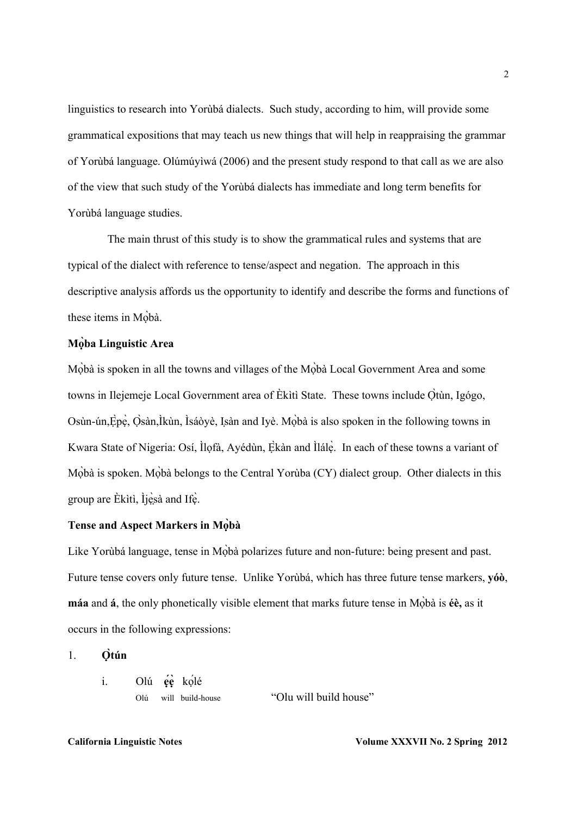linguistics to research into Yorùbá dialects. Such study, according to him, will provide some grammatical expositions that may teach us new things that will help in reappraising the grammar of Yorùbá language. Olúmúyìwá (2006) and the present study respond to that call as we are also of the view that such study of the Yorùbá dialects has immediate and long term benefits for Yorùbá language studies.

 The main thrust of this study is to show the grammatical rules and systems that are typical of the dialect with reference to tense/aspect and negation. The approach in this descriptive analysis affords us the opportunity to identify and describe the forms and functions of these items in Mobà.

## **Mọba Linguistic Area ̀**

Mộbà is spoken in all the towns and villages of the Mộbà Local Government Area and some towns in Ilejemeje Local Government area of Èkìtì State. These towns include Ọ̀tùn, Igógo, Osùn-ún, Èpẹ̀, Osàn, Ìkùn, Ìsáòyè, Isàn and Iyè. Mòbà is also spoken in the following towns in Kwara State of Nigeria: Osí, Ìlọfà, Ayédùn, Ekàn and Ìlálẹ̀. In each of these towns a variant of Mobà is spoken. Mobà belongs to the Central Yorùba (CY) dialect group. Other dialects in this group are Èkìtì, Ìjẹ̀sà and Ifẹ̀.

# **Tense and Aspect Markers in Mọbà ̀**

Like Yorùbá language, tense in Mọbà polarizes future and non-future: being present and past. Future tense covers only future tense. Unlike Yorùbá, which has three future tense markers, **yóò**, **máa** and **á**, the only phonetically visible element that marks future tense in Mobà is **éè**, as it occurs in the following expressions:

### 1. **Ọ̀tún**

i. Olú **ẹ́ẹ̀** kọlé ́

Olú will build-house "Olu will build house"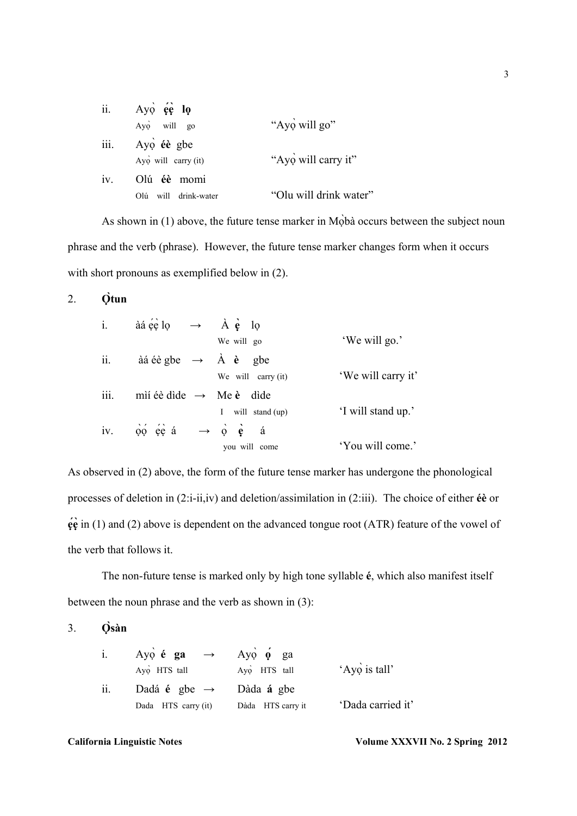|    | ii. $Ay\phi$ $e\phi$ $I\phi$ |                        |
|----|------------------------------|------------------------|
|    | Ayo will go                  | "Ayo will go"          |
|    | iii. Ayo éè gbe              |                        |
|    | $Ay\phi$ will carry (it)     | "Ayo will carry it"    |
| 1V | Olú éè momi                  |                        |
|    | will drink-water<br>Olú      | "Olu will drink water" |

As shown in (1) above, the future tense marker in Mọbà occurs between the subject noun phrase and the verb (phrase). However, the future tense marker changes form when it occurs with short pronouns as exemplified below in  $(2)$ .

2. **Ọ̀tun**

| $\mathbf{i}$ . | àá é lo $\rightarrow$ À è lo                                           |                    |
|----------------|------------------------------------------------------------------------|--------------------|
|                | We will go                                                             | 'We will go.'      |
| ii.            | àá éè gbe $\rightarrow$ À è gbe                                        |                    |
|                | We will carry $(it)$                                                   | 'We will carry it' |
| iii.           | mií éè dìde $\rightarrow$ Me è dìde                                    |                    |
|                | will stand (up)<br>L                                                   | 'I will stand up.' |
| iv.            | $\phi \phi \leftrightarrow \phi \phi \leftrightarrow \phi \phi \phi$ a |                    |
|                | you will come                                                          | 'You will come.'   |

As observed in (2) above, the form of the future tense marker has undergone the phonological processes of deletion in (2:i-ii,iv) and deletion/assimilation in (2:iii). The choice of either **éè** or **ẹ́ẹ̀** in (1) and (2) above is dependent on the advanced tongue root (ATR) feature of the vowel of the verb that follows it.

 The non-future tense is marked only by high tone syllable **é**, which also manifest itself between the noun phrase and the verb as shown in (3):

# 3. **Ọ̀sàn**

| $i$ . | Ayo é ga $\rightarrow$ Ayo o ga<br>Ayo HTS tall | Ayo HTS tall      | 'Ayo is tall'     |
|-------|-------------------------------------------------|-------------------|-------------------|
| ii.   | Dadá é gbe $\rightarrow$ Dàda á gbe             |                   |                   |
|       | Dada HTS carry (it)                             | Dàda HTS carry it | 'Dada carried it' |

### California Linguistic Notes Volume XXXVII No. 2 Spring 2012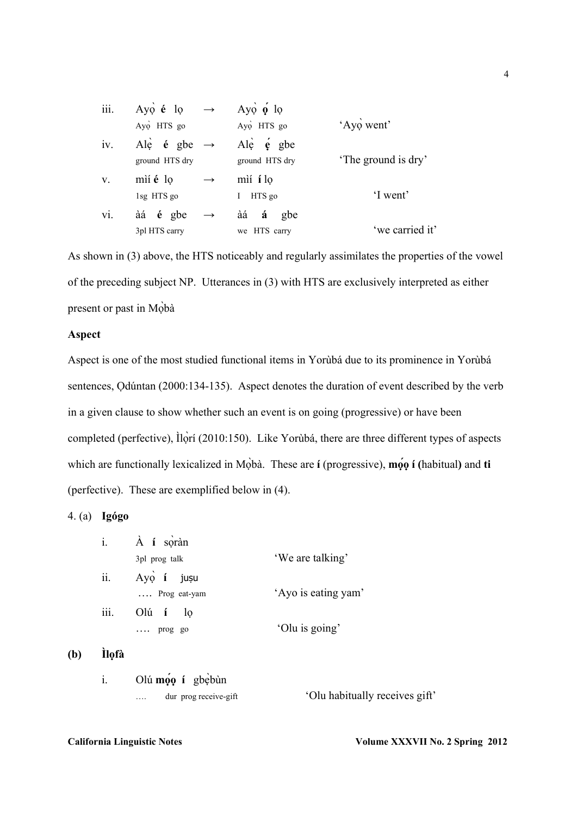| iii.        | Ayo é lo<br>$\longrightarrow$     | Ayo $\phi$ lo              |                     |
|-------------|-----------------------------------|----------------------------|---------------------|
|             | Ayo HTS go                        | Ayo HTS go                 | 'Ayo went'          |
| iv.         | Ale $\acute{e}$ gbe $\rightarrow$ | Ale $\acute{\text{e}}$ gbe |                     |
|             | ground HTS dry                    | ground HTS dry             | 'The ground is dry' |
| $V_{\cdot}$ | mìí é lo<br>$\rightarrow$         | mìí <b>i</b> lo            |                     |
|             | 1sg HTS go                        | HTS go<br>Ι                | 'I went'            |
| vi.         | àá é gbe<br>$\longrightarrow$     | àá<br>á<br>gbe             |                     |
|             | 3pl HTS carry                     | we HTS carry               | 'we carried it'     |

As shown in (3) above, the HTS noticeably and regularly assimilates the properties of the vowel of the preceding subject NP. Utterances in (3) with HTS are exclusively interpreted as either present or past in Mọbà ̀

## **Aspect**

Aspect is one of the most studied functional items in Yorùbá due to its prominence in Yorùbá sentences, Odúntan (2000:134-135). Aspect denotes the duration of event described by the verb in a given clause to show whether such an event is on going (progressive) or have been completed (perfective), Ìlọrí (2010:150). Like Yorùbá, there are three different types of aspects ̀ which are functionally lexicalized in Mọbà. These are **í** (progressive), **mọo** í (habitual) and **ti** (perfective). These are exemplified below in (4).

# 4. (a) **Igógo**

| $\ddot{1}$ . | À <b>i</b> soràn      |                     |
|--------------|-----------------------|---------------------|
|              | 3pl prog talk         | 'We are talking'    |
| ii.          | Ayo í jusu            |                     |
|              | $\ldots$ Prog eat-yam | 'Ayo is eating yam' |
| iii.         | $Ol$ ú í $lo$         |                     |
|              | $\ldots$ prog go      | 'Olu is going'      |

# **(b) Ìlọfà**

i. Olú **mọọ́ í** gbẹ̀bùn

…. dur prog receive-gift 'Olu habitually receives gift'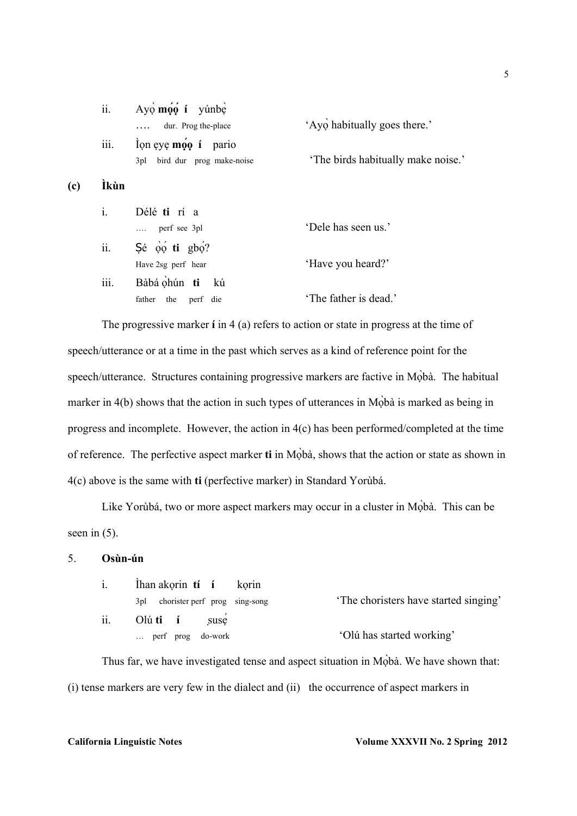|     | ii.            | $Ay\phi$ moo í yúnbe<br>dur. Prog the-place                            | 'Ayo habitually goes there.'       |
|-----|----------------|------------------------------------------------------------------------|------------------------------------|
|     | iii.           | lon eye $m\acute{\varphi}q$ í pario<br>bird dur prog make-noise<br>3pl | 'The birds habitually make noise.' |
| (c) | Ìkùn           |                                                                        |                                    |
|     | $\mathbf{i}$ . | Délé ti rí a                                                           |                                    |
|     |                | perf see 3pl                                                           | 'Dele has seen us.'                |
|     | ii.            | $\int 6$ $\phi$ $\phi$ <b>ti</b> $\phi$ ?                              |                                    |
|     |                | Have 2sg perf hear                                                     | 'Have you heard?'                  |
|     | iii.           | Bàbá ohún ti kú                                                        |                                    |
|     |                | father the perf die                                                    | 'The father is dead.'              |
|     |                |                                                                        |                                    |

 The progressive marker **í** in 4 (a) refers to action or state in progress at the time of speech/utterance or at a time in the past which serves as a kind of reference point for the speech/utterance. Structures containing progressive markers are factive in Moba. The habitual marker in  $4(b)$  shows that the action in such types of utterances in Mộbà is marked as being in progress and incomplete. However, the action in 4(c) has been performed/completed at the time of reference. The perfective aspect marker **ti** in Mọbà, shows that the action or state as shown in ̀ 4(c) above is the same with **ti** (perfective marker) in Standard Yorùbá.

Like Yorùbá, two or more aspect markers may occur in a cluster in Mòbà. This can be seen in  $(5)$ .

## 5. **Osùn-ún**

| $\mathbf{1}$ . | Ihan akorin ti í korin               |                                      |
|----------------|--------------------------------------|--------------------------------------|
|                | 3pl chorister perf prog sing-song    | The choristers have started singing' |
| ii.            | O $\mathfrak{u}$ <b>ti</b> i<br>suse |                                      |
|                | $\ldots$ perf prog do-work           | 'Olú has started working'            |

Thus far, we have investigated tense and aspect situation in Moba. We have shown that: (i) tense markers are very few in the dialect and (ii) the occurrence of aspect markers in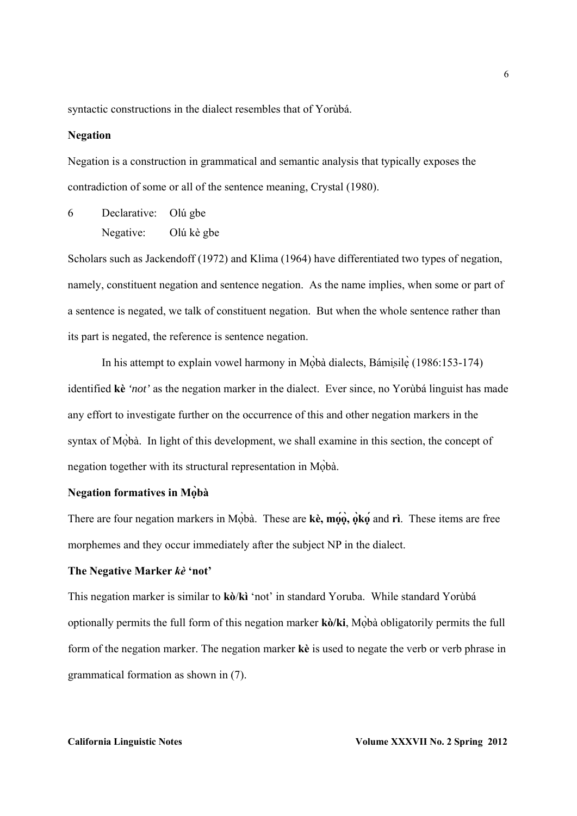syntactic constructions in the dialect resembles that of Yorùbá.

### **Negation**

Negation is a construction in grammatical and semantic analysis that typically exposes the contradiction of some or all of the sentence meaning, Crystal (1980).

6 Declarative: Olú gbe Negative: Olú kè gbe

Scholars such as Jackendoff (1972) and Klima (1964) have differentiated two types of negation, namely, constituent negation and sentence negation. As the name implies, when some or part of a sentence is negated, we talk of constituent negation. But when the whole sentence rather than its part is negated, the reference is sentence negation.

In his attempt to explain vowel harmony in Moba dialects, Bámisile  $(1986:153-174)$ identified **kè** *'not'* as the negation marker in the dialect. Ever since, no Yorùbá linguist has made any effort to investigate further on the occurrence of this and other negation markers in the syntax of Mobà. In light of this development, we shall examine in this section, the concept of negation together with its structural representation in Mọbà. ̀

# **Negation formatives in Mọbà ̀**

There are four negation markers in Mọbà. These are **kè**, mọo, oko and rì. These items are free morphemes and they occur immediately after the subject NP in the dialect.

### **The Negative Marker** *kè* **'not'**

This negation marker is similar to **kò**/**kì** 'not' in standard Yoruba. While standard Yorùbá optionally permits the full form of this negation marker **kò/ki**, Mọbà obligatorily permits the full ̀ form of the negation marker. The negation marker **kè** is used to negate the verb or verb phrase in grammatical formation as shown in (7).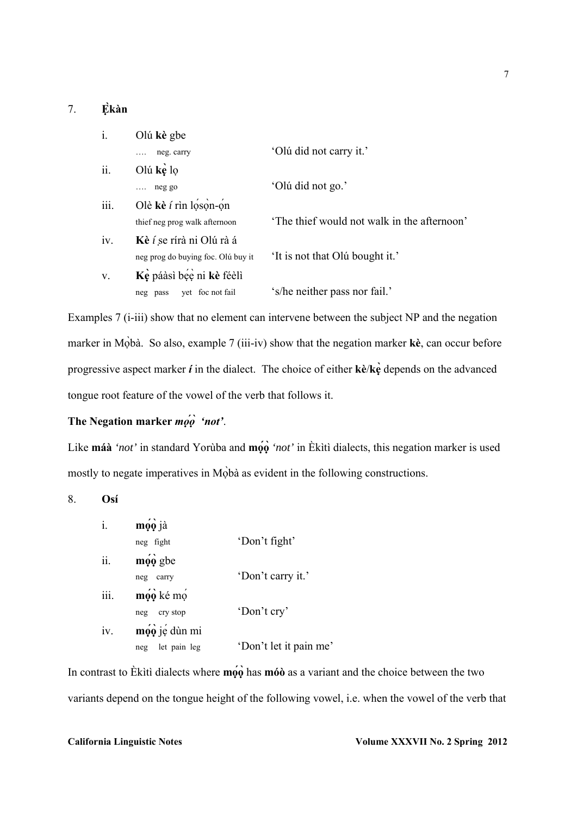### 7. **Ẹkàn ̀**

| i.   | Olú kè gbe                         |                                            |
|------|------------------------------------|--------------------------------------------|
|      | neg. carry                         | 'Olú did not carry it.'                    |
| ii.  | Olú kè lo                          |                                            |
|      | $\ldots$ neg go                    | 'Olú did not go.'                          |
| iii. | Olè kè $i$ rìn loson-on            |                                            |
|      | thief neg prog walk afternoon      | The thief would not walk in the afternoon' |
| iv.  | Kè í se rírà ni Olú rà á           |                                            |
|      | neg prog do buying foc. Olú buy it | 'It is not that Olú bought it.'            |
| V.   | Kè páàsì bée ni kè féèlì           |                                            |
|      | yet foc not fail<br>neg pass       | 's/he neither pass nor fail.'              |

Examples 7 (i-iii) show that no element can intervene between the subject NP and the negation marker in Mọbà. So also, example 7 (iii-iv) show that the negation marker **kè**, can occur before progressive aspect marker *í* in the dialect. The choice of either **kè**/**kẹ̀** depends on the advanced tongue root feature of the vowel of the verb that follows it.

# **The Negation marker** *mọọ́**̀ 'not'*.

Like **máà** *'not'* in standard Yorùba and **mọọ́ ̀***'not'* in Èkìtì dialects, this negation marker is used mostly to negate imperatives in Mobà as evident in the following constructions.

8. **Osí** 

|      | mọo jà                      |                        |
|------|-----------------------------|------------------------|
|      | neg fight                   | 'Don't fight'          |
| ii.  | $m\hat{\rho}\hat{\rho}$ gbe |                        |
|      | neg<br>carry                | 'Don't carry it.'      |
| iii. | mọo ké mọ                   |                        |
|      | cry stop<br>neg             | 'Don't cry'            |
| iv.  | mọo jẹ dùn mi               |                        |
|      | let pain leg<br>neg         | 'Don't let it pain me' |

In contrast to Èkìtì dialects where **mọo** has **móò** as a variant and the choice between the two variants depend on the tongue height of the following vowel, i.e. when the vowel of the verb that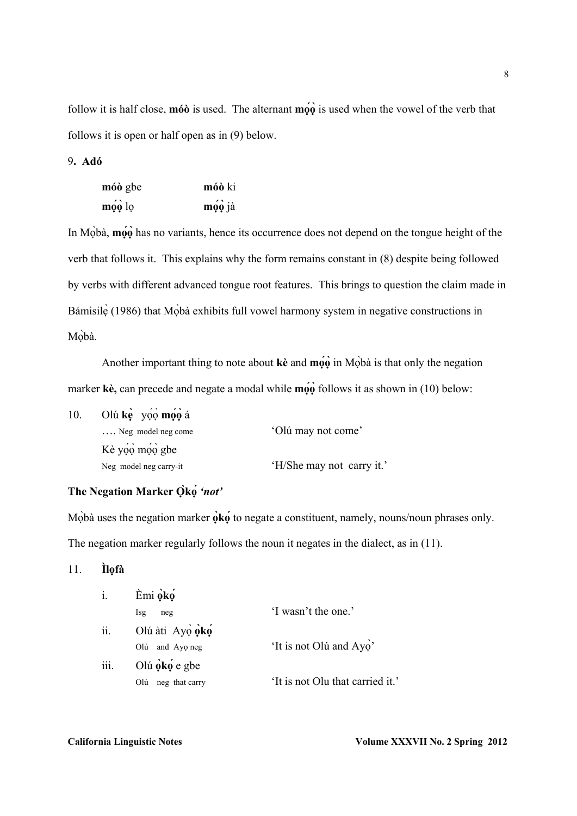follow it is half close, **mó** is used. The alternant  $m\hat{\rho}\hat{\rho}$  is used when the vowel of the verb that follows it is open or half open as in (9) below.

### 9**. Adó**

| móò gbe | móò ki |
|---------|--------|
| mọo lọ  | mọo jà |

In Mobà, **moo** has no variants, hence its occurrence does not depend on the tongue height of the verb that follows it. This explains why the form remains constant in (8) despite being followed by verbs with different advanced tongue root features. This brings to question the claim made in Bámisilę̀ (1986) that Mọbà exhibits full vowel harmony system in negative constructions in Mòbà.

Another important thing to note about  $\bf{k}$ **è** and  $\bf{m}$ **o** $\hat{\bf{o}}$  in M $\hat{\bf{o}}$ **b**à is that only the negation marker **kè,** can precede and negate a modal while **mọọ́ ̀**follows it as shown in (10) below:

| 10. | Olú ke yoo moo á            |                           |
|-----|-----------------------------|---------------------------|
|     | $\ldots$ Neg model neg come | 'Olú may not come'        |
|     | Kè yoo moo gbe              |                           |
|     | Neg model neg carry-it      | 'H/She may not carry it.' |

# **The Negation Marker Ọ̀kọ́***'not'*

Mộbà uses the negation marker  $\phi$ **k**<sup> $\phi$ </sup> to negate a constituent, namely, nouns/noun phrases only. The negation marker regularly follows the noun it negates in the dialect, as in (11).

11. **Ìlọfà** 

| i.   | Èmi oko                   |                                  |
|------|---------------------------|----------------------------------|
|      | <b>Isg</b><br>neg         | 'I wasn't the one.'              |
| ii.  | Olú àti Ayọ oko           |                                  |
|      | and Ayo neg<br>Olú        | 'It is not Olú and Ayo'          |
| iii. | Olú $\phi$ k $\phi$ e gbe |                                  |
|      | neg that carry<br>Olú     | 'It is not Olu that carried it.' |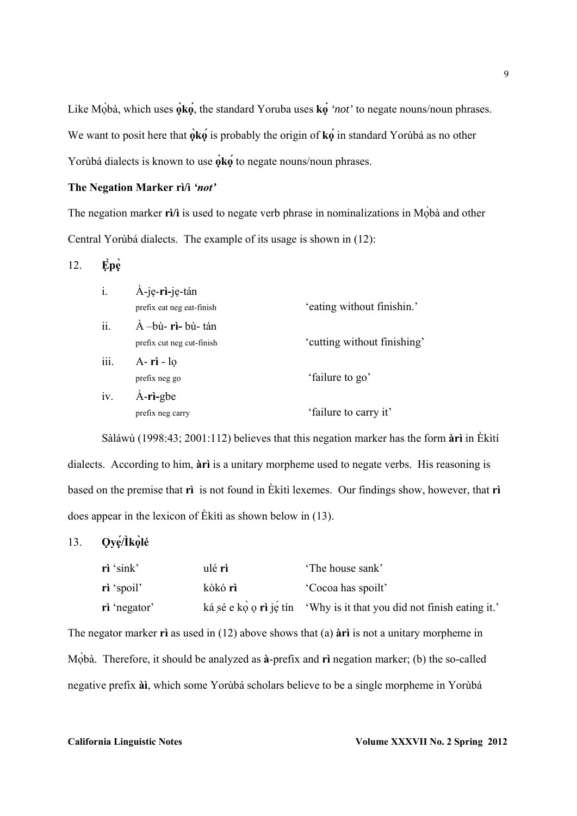Like Mọbà, which uses  $\phi$ **k**o, the standard Yoruba uses **k**o '*not*' to negate nouns/noun phrases. We want to posit here that  $\phi \mathbf{k} \phi$  is probably the origin of  $\mathbf{k} \phi$  in standard Yorùbá as no other Yorùbá dialects is known to use **ọk̀ ọ́**to negate nouns/noun phrases.

# **The Negation Marker rì/ì** *'not'*

The negation marker **rì**/**ì** is used to negate verb phrase in nominalizations in Mobà and other Central Yorùbá dialects. The example of its usage is shown in (12):

# 12. **Ẹp̀ ẹ̀**

| $i$ . | À-je-rì-je-tán             |                             |
|-------|----------------------------|-----------------------------|
|       | prefix eat neg eat-finish  | 'eating without finishin.'  |
| ii.   | $\dot{A}$ -bù- rì- bù- tán |                             |
|       | prefix cut neg cut-finish  | 'cutting without finishing' |
| iii.  | $A - ri - lo$              |                             |
|       | prefix neg go              | 'failure to go'             |
| iv.   | $\dot{A}$ -ri-gbe          |                             |
|       | prefix neg carry           | 'failure to carry it'       |

 Sàláwù (1998:43; 2001:112) believes that this negation marker has the form **àrì** in Èkìtí dialects. According to him, **àrì** is a unitary morpheme used to negate verbs. His reasoning is based on the premise that **rì** is not found in Èkìtì lexemes. Our findings show, however, that **rì**  does appear in the lexicon of Èkìtì as shown below in (13).

# 13. **Ọyẹ/Ìḱ ọlé ̀**

| $\vec{r}$ 'sink' | ulé rì  | 'The house sank'                                                            |
|------------------|---------|-----------------------------------------------------------------------------|
| rì 'spoil'       | kòkó rì | Cocoa has spoilt'                                                           |
| ri 'negator'     |         | ká sé e kọ $\circ$ rì jế tín 'Why is it that you did not finish eating it.' |

The negator marker **rì** as used in (12) above shows that (a) **àrì** is not a unitary morpheme in Mobà. Therefore, it should be analyzed as  $\hat{a}$ -prefix and **r**ì negation marker; (b) the so-called negative prefix **àì**, which some Yorùbá scholars believe to be a single morpheme in Yorùbá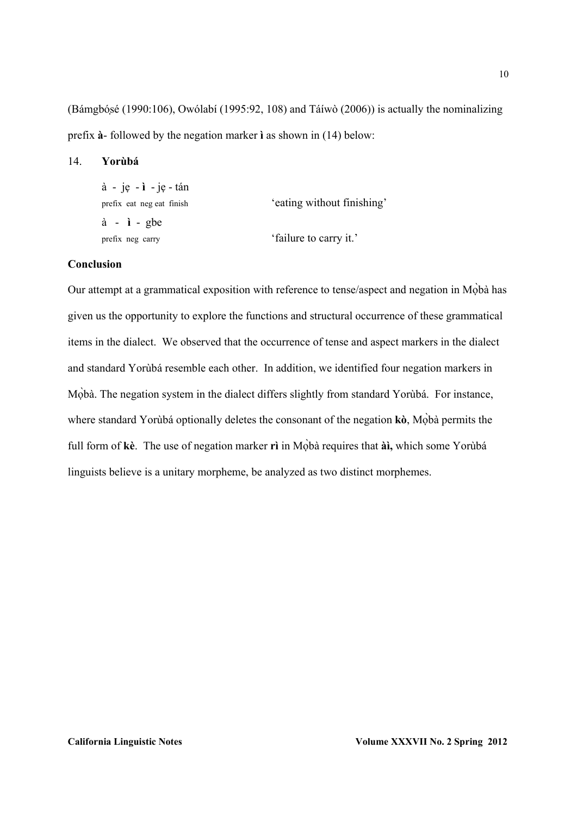(Bámgbóṣé (1990:106), Owólabí (1995:92, 108) and Táíwò (2006)) is actually the nominalizing prefix **à**- followed by the negation marker **ì** as shown in (14) below:

### 14. **Yorùbá**

| $\dot{a}$ - je - $\dot{b}$ - je - tán |                            |
|---------------------------------------|----------------------------|
| prefix eat neg eat finish             | 'eating without finishing' |
| $\dot{a}$ - $\dot{a}$ - gbe           |                            |
| prefix neg carry                      | 'failure to carry it.'     |

# **Conclusion**

Our attempt at a grammatical exposition with reference to tense/aspect and negation in Mọbà has ̀ given us the opportunity to explore the functions and structural occurrence of these grammatical items in the dialect. We observed that the occurrence of tense and aspect markers in the dialect and standard Yorùbá resemble each other. In addition, we identified four negation markers in Mọbà. The negation system in the dialect differs slightly from standard Yorùbá. For instance, where standard Yorùbá optionally deletes the consonant of the negation **kò**, Mobà permits the full form of kè. The use of negation marker rì in Mọbà requires that à **à**, which some Yorùbá linguists believe is a unitary morpheme, be analyzed as two distinct morphemes.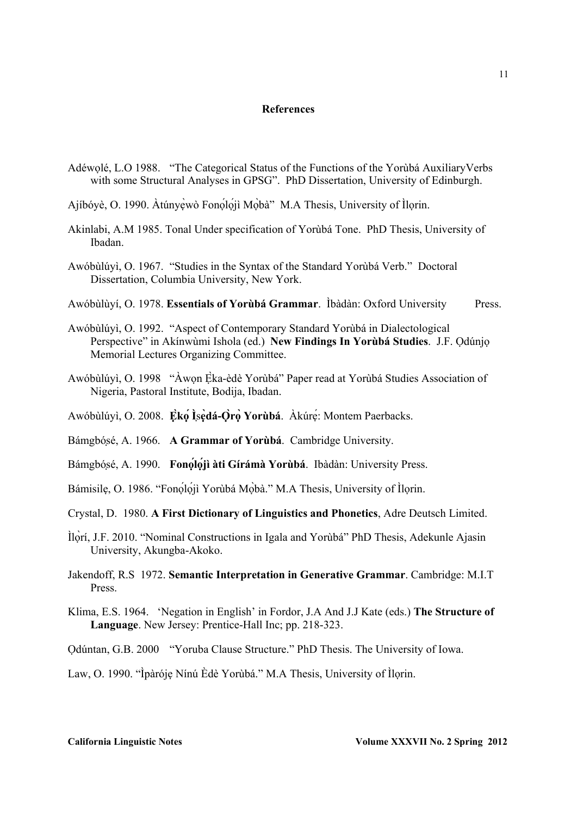### **References**

- Adéwọlé, L.O 1988. "The Categorical Status of the Functions of the Yorùbá AuxiliaryVerbs with some Structural Analyses in GPSG". PhD Dissertation, University of Edinburgh.
- Ajíbóyè, O. 1990. Àtúnyẹ̀wò Fonọlọji Mọ̀bà" M.A Thesis, University of Ìlọrin.
- Akinlabi, A.M 1985. Tonal Under specification of Yorùbá Tone. PhD Thesis, University of Ibadan.
- Awóbùlúyì, O. 1967. "Studies in the Syntax of the Standard Yorùbá Verb." Doctoral Dissertation, Columbia University, New York.
- Awóbùlùyí, O. 1978. **Essentials of Yorùbá Grammar**. Ìbàdàn: Oxford University Press.
- Awóbùlúyì, O. 1992. "Aspect of Contemporary Standard Yorùbá in Dialectological Perspective" in Akínwùmi Ishola (ed.) **New Findings In Yorùbá Studies**. J.F. Ọdúnjọ Memorial Lectures Organizing Committee.
- Awóbùlúyì, O. 1998 "Àwọn Ẹ̀ka-èdè Yorùbá" Paper read at Yorùbá Studies Association of Nigeria, Pastoral Institute, Bodija, Ibadan.
- Awóbùlúyì, O. 2008. **Ẹk̀ ọ Ì́** ṣ**ẹ̀dá-Ọ̀rọ Yorùbá ̀** . Àkúrẹ́: Montem Paerbacks.
- Bámgbóṣé, A. 1966. **A Grammar of Yorùbá**. Cambridge University.
- Bámgbóṣé, A. 1990. **Fonọĺọjì àti Gírámà ́ Yorùbá**. Ibàdàn: University Press.
- Bámisilę, O. 1986. "Fonọlọji Yorùbá Mọbà." M.A Thesis, University of Ìlorin.
- Crystal, D. 1980. **A First Dictionary of Linguistics and Phonetics**, Adre Deutsch Limited.
- Ìlọrí, J.F. 2010. "Nominal Constructions in Igala and Yorùbá" PhD Thesis, Adekunle Ajasin ̀ University, Akungba-Akoko.
- Jakendoff, R.S 1972. **Semantic Interpretation in Generative Grammar**. Cambridge: M.I.T Press.
- Klima, E.S. 1964. 'Negation in English' in Fordor, J.A And J.J Kate (eds.) **The Structure of Language**. New Jersey: Prentice-Hall Inc; pp. 218-323.
- Ọdúntan, G.B. 2000 "Yoruba Clause Structure." PhD Thesis. The University of Iowa.

Law, O. 1990. "Ìpàróje Nínú Èdè Yorùbá." M.A Thesis, University of Ìlorin.